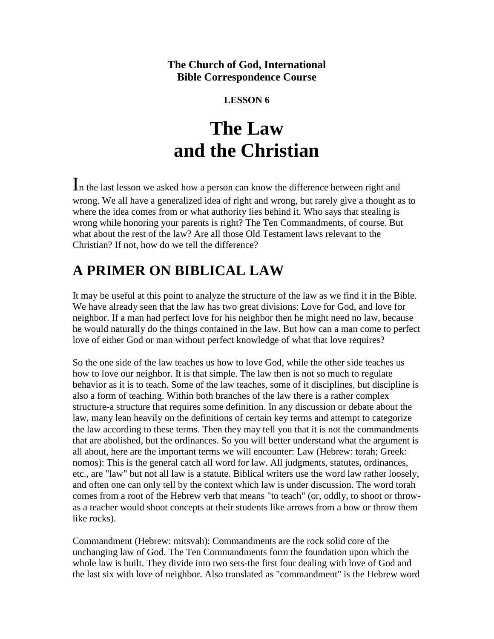## **The Church of God, International Bible Correspondence Course**

### **LESSON 6**

# **The Law and the Christian**

In the last lesson we asked how a person can know the difference between right and wrong. We all have a generalized idea of right and wrong, but rarely give a thought as to where the idea comes from or what authority lies behind it. Who says that stealing is wrong while honoring your parents is right? The Ten Commandments, of course. But what about the rest of the law? Are all those Old Testament laws relevant to the Christian? If not, how do we tell the difference?

# **A PRIMER ON BIBLICAL LAW**

It may be useful at this point to analyze the structure of the law as we find it in the Bible. We have already seen that the law has two great divisions: Love for God, and love for neighbor. If a man had perfect love for his neighbor then he might need no law, because he would naturally do the things contained in the law. But how can a man come to perfect love of either God or man without perfect knowledge of what that love requires?

So the one side of the law teaches us how to love God, while the other side teaches us how to love our neighbor. It is that simple. The law then is not so much to regulate behavior as it is to teach. Some of the law teaches, some of it disciplines, but discipline is also a form of teaching. Within both branches of the law there is a rather complex structure-a structure that requires some definition. In any discussion or debate about the law, many lean heavily on the definitions of certain key terms and attempt to categorize the law according to these terms. Then they may tell you that it is not the commandments that are abolished, but the ordinances. So you will better understand what the argument is all about, here are the important terms we will encounter: Law (Hebrew: torah; Greek: nomos): This is the general catch all word for law. All judgments, statutes, ordinances, etc., are "law" but not all law is a statute. Biblical writers use the word law rather loosely, and often one can only tell by the context which law is under discussion. The word torah comes from a root of the Hebrew verb that means "to teach" (or, oddly, to shoot or throwas a teacher would shoot concepts at their students like arrows from a bow or throw them like rocks).

Commandment (Hebrew: mitsvah): Commandments are the rock solid core of the unchanging law of God. The Ten Commandments form the foundation upon which the whole law is built. They divide into two sets-the first four dealing with love of God and the last six with love of neighbor. Also translated as "commandment" is the Hebrew word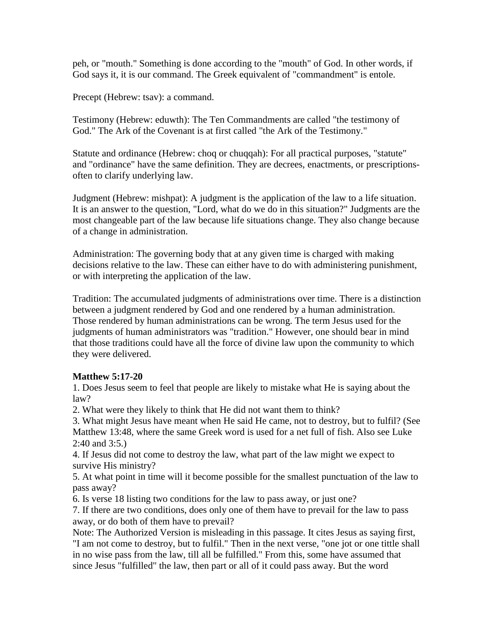peh, or "mouth." Something is done according to the "mouth" of God. In other words, if God says it, it is our command. The Greek equivalent of "commandment" is entole.

Precept (Hebrew: tsav): a command.

Testimony (Hebrew: eduwth): The Ten Commandments are called "the testimony of God." The Ark of the Covenant is at first called "the Ark of the Testimony."

Statute and ordinance (Hebrew: choq or chuqqah): For all practical purposes, "statute" and "ordinance" have the same definition. They are decrees, enactments, or prescriptionsoften to clarify underlying law.

Judgment (Hebrew: mishpat): A judgment is the application of the law to a life situation. It is an answer to the question, "Lord, what do we do in this situation?" Judgments are the most changeable part of the law because life situations change. They also change because of a change in administration.

Administration: The governing body that at any given time is charged with making decisions relative to the law. These can either have to do with administering punishment, or with interpreting the application of the law.

Tradition: The accumulated judgments of administrations over time. There is a distinction between a judgment rendered by God and one rendered by a human administration. Those rendered by human administrations can be wrong. The term Jesus used for the judgments of human administrators was "tradition." However, one should bear in mind that those traditions could have all the force of divine law upon the community to which they were delivered.

#### **Matthew 5:17-20**

1. Does Jesus seem to feel that people are likely to mistake what He is saying about the law?

2. What were they likely to think that He did not want them to think?

3. What might Jesus have meant when He said He came, not to destroy, but to fulfil? (See Matthew 13:48, where the same Greek word is used for a net full of fish. Also see Luke 2:40 and 3:5.)

4. If Jesus did not come to destroy the law, what part of the law might we expect to survive His ministry?

5. At what point in time will it become possible for the smallest punctuation of the law to pass away?

6. Is verse 18 listing two conditions for the law to pass away, or just one?

7. If there are two conditions, does only one of them have to prevail for the law to pass away, or do both of them have to prevail?

Note: The Authorized Version is misleading in this passage. It cites Jesus as saying first, "I am not come to destroy, but to fulfil." Then in the next verse, "one jot or one tittle shall in no wise pass from the law, till all be fulfilled." From this, some have assumed that since Jesus "fulfilled" the law, then part or all of it could pass away. But the word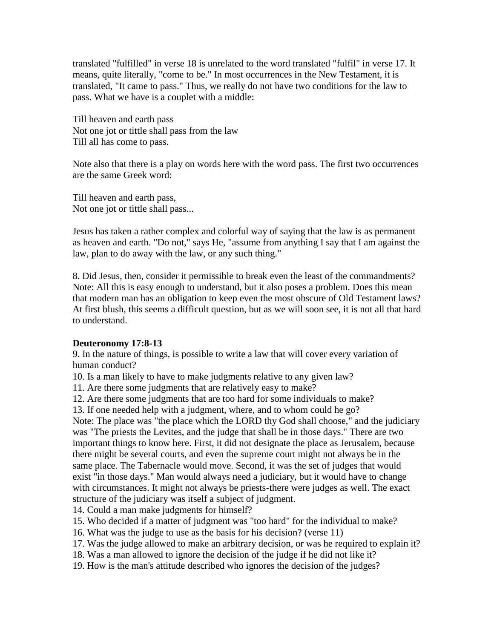translated "fulfilled" in verse 18 is unrelated to the word translated "fulfil" in verse 17. It means, quite literally, "come to be." In most occurrences in the New Testament, it is translated, "It came to pass." Thus, we really do not have two conditions for the law to pass. What we have is a couplet with a middle:

Till heaven and earth pass Not one jot or tittle shall pass from the law Till all has come to pass.

Note also that there is a play on words here with the word pass. The first two occurrences are the same Greek word:

Till heaven and earth pass, Not one jot or tittle shall pass...

Jesus has taken a rather complex and colorful way of saying that the law is as permanent as heaven and earth. "Do not," says He, "assume from anything I say that I am against the law, plan to do away with the law, or any such thing."

8. Did Jesus, then, consider it permissible to break even the least of the commandments? Note: All this is easy enough to understand, but it also poses a problem. Does this mean that modern man has an obligation to keep even the most obscure of Old Testament laws? At first blush, this seems a difficult question, but as we will soon see, it is not all that hard to understand.

#### **Deuteronomy 17:8-13**

9. In the nature of things, is possible to write a law that will cover every variation of human conduct?

10. Is a man likely to have to make judgments relative to any given law?

11. Are there some judgments that are relatively easy to make?

12. Are there some judgments that are too hard for some individuals to make?

13. If one needed help with a judgment, where, and to whom could he go?

Note: The place was "the place which the LORD thy God shall choose," and the judiciary was "The priests the Levites, and the judge that shall be in those days." There are two important things to know here. First, it did not designate the place as Jerusalem, because there might be several courts, and even the supreme court might not always be in the same place. The Tabernacle would move. Second, it was the set of judges that would exist "in those days." Man would always need a judiciary, but it would have to change with circumstances. It might not always be priests-there were judges as well. The exact structure of the judiciary was itself a subject of judgment.

14. Could a man make judgments for himself?

15. Who decided if a matter of judgment was "too hard" for the individual to make?

16. What was the judge to use as the basis for his decision? (verse 11)

17. Was the judge allowed to make an arbitrary decision, or was he required to explain it?

- 18. Was a man allowed to ignore the decision of the judge if he did not like it?
- 19. How is the man's attitude described who ignores the decision of the judges?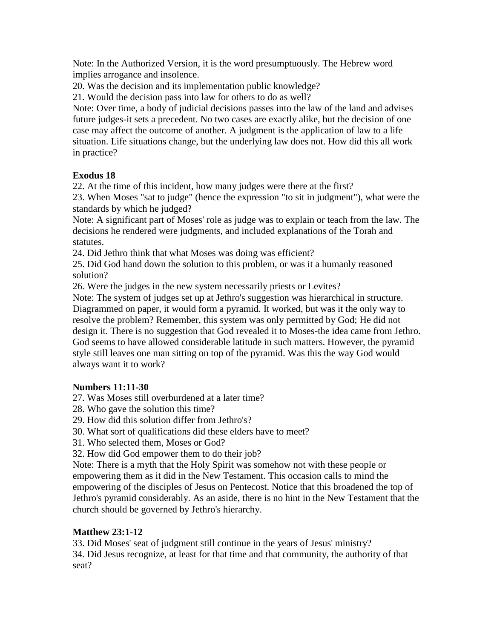Note: In the Authorized Version, it is the word presumptuously. The Hebrew word implies arrogance and insolence.

20. Was the decision and its implementation public knowledge?

21. Would the decision pass into law for others to do as well?

Note: Over time, a body of judicial decisions passes into the law of the land and advises future judges-it sets a precedent. No two cases are exactly alike, but the decision of one case may affect the outcome of another. A judgment is the application of law to a life situation. Life situations change, but the underlying law does not. How did this all work in practice?

#### **Exodus 18**

22. At the time of this incident, how many judges were there at the first?

23. When Moses "sat to judge" (hence the expression "to sit in judgment"), what were the standards by which he judged?

Note: A significant part of Moses' role as judge was to explain or teach from the law. The decisions he rendered were judgments, and included explanations of the Torah and statutes.

24. Did Jethro think that what Moses was doing was efficient?

25. Did God hand down the solution to this problem, or was it a humanly reasoned solution?

26. Were the judges in the new system necessarily priests or Levites?

Note: The system of judges set up at Jethro's suggestion was hierarchical in structure. Diagrammed on paper, it would form a pyramid. It worked, but was it the only way to resolve the problem? Remember, this system was only permitted by God; He did not design it. There is no suggestion that God revealed it to Moses-the idea came from Jethro. God seems to have allowed considerable latitude in such matters. However, the pyramid style still leaves one man sitting on top of the pyramid. Was this the way God would always want it to work?

#### **Numbers 11:11-30**

27. Was Moses still overburdened at a later time?

28. Who gave the solution this time?

29. How did this solution differ from Jethro's?

30. What sort of qualifications did these elders have to meet?

31. Who selected them, Moses or God?

32. How did God empower them to do their job?

Note: There is a myth that the Holy Spirit was somehow not with these people or empowering them as it did in the New Testament. This occasion calls to mind the empowering of the disciples of Jesus on Pentecost. Notice that this broadened the top of Jethro's pyramid considerably. As an aside, there is no hint in the New Testament that the church should be governed by Jethro's hierarchy.

### **Matthew 23:1-12**

33. Did Moses' seat of judgment still continue in the years of Jesus' ministry? 34. Did Jesus recognize, at least for that time and that community, the authority of that seat?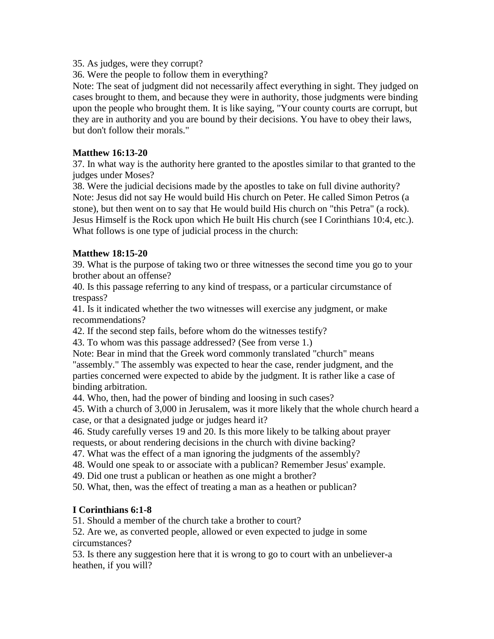35. As judges, were they corrupt?

36. Were the people to follow them in everything?

Note: The seat of judgment did not necessarily affect everything in sight. They judged on cases brought to them, and because they were in authority, those judgments were binding upon the people who brought them. It is like saying, "Your county courts are corrupt, but they are in authority and you are bound by their decisions. You have to obey their laws, but don't follow their morals."

#### **Matthew 16:13-20**

37. In what way is the authority here granted to the apostles similar to that granted to the judges under Moses?

38. Were the judicial decisions made by the apostles to take on full divine authority? Note: Jesus did not say He would build His church on Peter. He called Simon Petros (a stone), but then went on to say that He would build His church on "this Petra" (a rock). Jesus Himself is the Rock upon which He built His church (see I Corinthians 10:4, etc.). What follows is one type of judicial process in the church:

#### **Matthew 18:15-20**

39. What is the purpose of taking two or three witnesses the second time you go to your brother about an offense?

40. Is this passage referring to any kind of trespass, or a particular circumstance of trespass?

41. Is it indicated whether the two witnesses will exercise any judgment, or make recommendations?

42. If the second step fails, before whom do the witnesses testify?

43. To whom was this passage addressed? (See from verse 1.)

Note: Bear in mind that the Greek word commonly translated "church" means "assembly." The assembly was expected to hear the case, render judgment, and the parties concerned were expected to abide by the judgment. It is rather like a case of binding arbitration.

44. Who, then, had the power of binding and loosing in such cases?

45. With a church of 3,000 in Jerusalem, was it more likely that the whole church heard a case, or that a designated judge or judges heard it?

46. Study carefully verses 19 and 20. Is this more likely to be talking about prayer requests, or about rendering decisions in the church with divine backing?

47. What was the effect of a man ignoring the judgments of the assembly?

48. Would one speak to or associate with a publican? Remember Jesus' example.

49. Did one trust a publican or heathen as one might a brother?

50. What, then, was the effect of treating a man as a heathen or publican?

#### **I Corinthians 6:1-8**

51. Should a member of the church take a brother to court?

52. Are we, as converted people, allowed or even expected to judge in some circumstances?

53. Is there any suggestion here that it is wrong to go to court with an unbeliever-a heathen, if you will?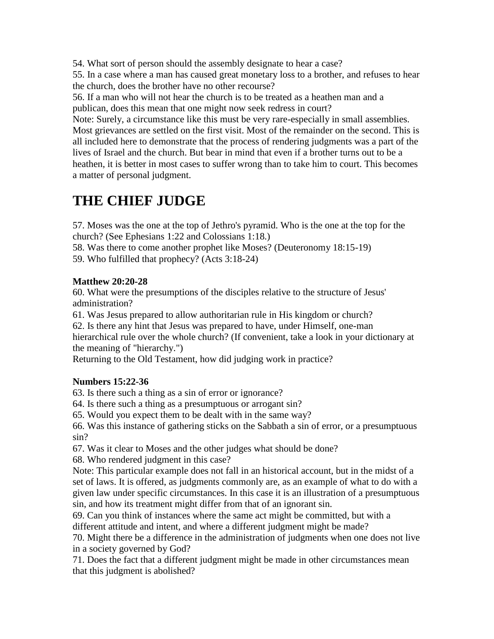54. What sort of person should the assembly designate to hear a case?

55. In a case where a man has caused great monetary loss to a brother, and refuses to hear the church, does the brother have no other recourse?

56. If a man who will not hear the church is to be treated as a heathen man and a publican, does this mean that one might now seek redress in court?

Note: Surely, a circumstance like this must be very rare-especially in small assemblies. Most grievances are settled on the first visit. Most of the remainder on the second. This is all included here to demonstrate that the process of rendering judgments was a part of the lives of Israel and the church. But bear in mind that even if a brother turns out to be a heathen, it is better in most cases to suffer wrong than to take him to court. This becomes a matter of personal judgment.

# **THE CHIEF JUDGE**

57. Moses was the one at the top of Jethro's pyramid. Who is the one at the top for the church? (See Ephesians 1:22 and Colossians 1:18.)

58. Was there to come another prophet like Moses? (Deuteronomy 18:15-19)

59. Who fulfilled that prophecy? (Acts 3:18-24)

#### **Matthew 20:20-28**

60. What were the presumptions of the disciples relative to the structure of Jesus' administration?

61. Was Jesus prepared to allow authoritarian rule in His kingdom or church?

62. Is there any hint that Jesus was prepared to have, under Himself, one-man

hierarchical rule over the whole church? (If convenient, take a look in your dictionary at the meaning of "hierarchy.")

Returning to the Old Testament, how did judging work in practice?

#### **Numbers 15:22-36**

63. Is there such a thing as a sin of error or ignorance?

64. Is there such a thing as a presumptuous or arrogant sin?

65. Would you expect them to be dealt with in the same way?

66. Was this instance of gathering sticks on the Sabbath a sin of error, or a presumptuous sin?

67. Was it clear to Moses and the other judges what should be done?

68. Who rendered judgment in this case?

Note: This particular example does not fall in an historical account, but in the midst of a set of laws. It is offered, as judgments commonly are, as an example of what to do with a given law under specific circumstances. In this case it is an illustration of a presumptuous sin, and how its treatment might differ from that of an ignorant sin.

69. Can you think of instances where the same act might be committed, but with a different attitude and intent, and where a different judgment might be made?

70. Might there be a difference in the administration of judgments when one does not live in a society governed by God?

71. Does the fact that a different judgment might be made in other circumstances mean that this judgment is abolished?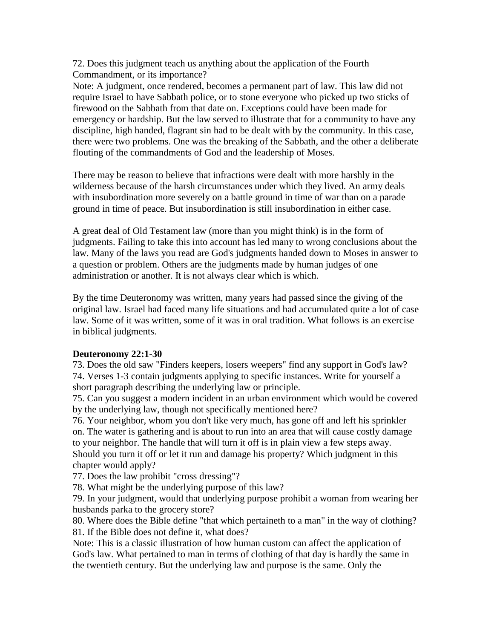72. Does this judgment teach us anything about the application of the Fourth Commandment, or its importance?

Note: A judgment, once rendered, becomes a permanent part of law. This law did not require Israel to have Sabbath police, or to stone everyone who picked up two sticks of firewood on the Sabbath from that date on. Exceptions could have been made for emergency or hardship. But the law served to illustrate that for a community to have any discipline, high handed, flagrant sin had to be dealt with by the community. In this case, there were two problems. One was the breaking of the Sabbath, and the other a deliberate flouting of the commandments of God and the leadership of Moses.

There may be reason to believe that infractions were dealt with more harshly in the wilderness because of the harsh circumstances under which they lived. An army deals with insubordination more severely on a battle ground in time of war than on a parade ground in time of peace. But insubordination is still insubordination in either case.

A great deal of Old Testament law (more than you might think) is in the form of judgments. Failing to take this into account has led many to wrong conclusions about the law. Many of the laws you read are God's judgments handed down to Moses in answer to a question or problem. Others are the judgments made by human judges of one administration or another. It is not always clear which is which.

By the time Deuteronomy was written, many years had passed since the giving of the original law. Israel had faced many life situations and had accumulated quite a lot of case law. Some of it was written, some of it was in oral tradition. What follows is an exercise in biblical judgments.

#### **Deuteronomy 22:1-30**

73. Does the old saw "Finders keepers, losers weepers" find any support in God's law? 74. Verses 1-3 contain judgments applying to specific instances. Write for yourself a short paragraph describing the underlying law or principle.

75. Can you suggest a modern incident in an urban environment which would be covered by the underlying law, though not specifically mentioned here?

76. Your neighbor, whom you don't like very much, has gone off and left his sprinkler on. The water is gathering and is about to run into an area that will cause costly damage to your neighbor. The handle that will turn it off is in plain view a few steps away. Should you turn it off or let it run and damage his property? Which judgment in this chapter would apply?

77. Does the law prohibit "cross dressing"?

78. What might be the underlying purpose of this law?

79. In your judgment, would that underlying purpose prohibit a woman from wearing her husbands parka to the grocery store?

80. Where does the Bible define "that which pertaineth to a man" in the way of clothing? 81. If the Bible does not define it, what does?

Note: This is a classic illustration of how human custom can affect the application of God's law. What pertained to man in terms of clothing of that day is hardly the same in the twentieth century. But the underlying law and purpose is the same. Only the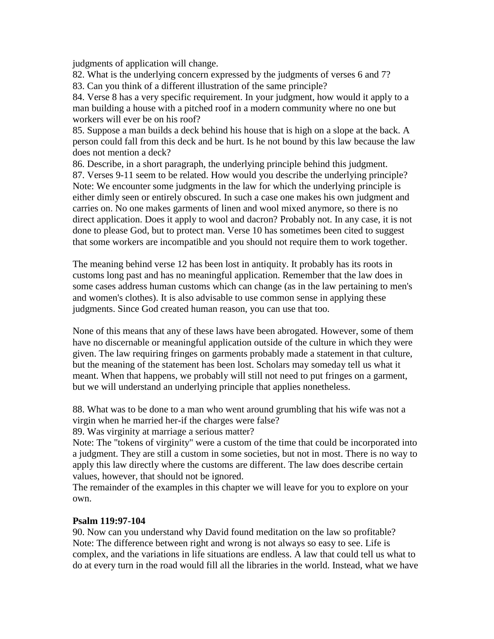judgments of application will change.

82. What is the underlying concern expressed by the judgments of verses 6 and 7?

83. Can you think of a different illustration of the same principle?

84. Verse 8 has a very specific requirement. In your judgment, how would it apply to a man building a house with a pitched roof in a modern community where no one but workers will ever be on his roof?

85. Suppose a man builds a deck behind his house that is high on a slope at the back. A person could fall from this deck and be hurt. Is he not bound by this law because the law does not mention a deck?

86. Describe, in a short paragraph, the underlying principle behind this judgment. 87. Verses 9-11 seem to be related. How would you describe the underlying principle? Note: We encounter some judgments in the law for which the underlying principle is either dimly seen or entirely obscured. In such a case one makes his own judgment and carries on. No one makes garments of linen and wool mixed anymore, so there is no direct application. Does it apply to wool and dacron? Probably not. In any case, it is not done to please God, but to protect man. Verse 10 has sometimes been cited to suggest that some workers are incompatible and you should not require them to work together.

The meaning behind verse 12 has been lost in antiquity. It probably has its roots in customs long past and has no meaningful application. Remember that the law does in some cases address human customs which can change (as in the law pertaining to men's and women's clothes). It is also advisable to use common sense in applying these judgments. Since God created human reason, you can use that too.

None of this means that any of these laws have been abrogated. However, some of them have no discernable or meaningful application outside of the culture in which they were given. The law requiring fringes on garments probably made a statement in that culture, but the meaning of the statement has been lost. Scholars may someday tell us what it meant. When that happens, we probably will still not need to put fringes on a garment, but we will understand an underlying principle that applies nonetheless.

88. What was to be done to a man who went around grumbling that his wife was not a virgin when he married her-if the charges were false?

89. Was virginity at marriage a serious matter?

Note: The "tokens of virginity" were a custom of the time that could be incorporated into a judgment. They are still a custom in some societies, but not in most. There is no way to apply this law directly where the customs are different. The law does describe certain values, however, that should not be ignored.

The remainder of the examples in this chapter we will leave for you to explore on your own.

#### **Psalm 119:97-104**

90. Now can you understand why David found meditation on the law so profitable? Note: The difference between right and wrong is not always so easy to see. Life is complex, and the variations in life situations are endless. A law that could tell us what to do at every turn in the road would fill all the libraries in the world. Instead, what we have